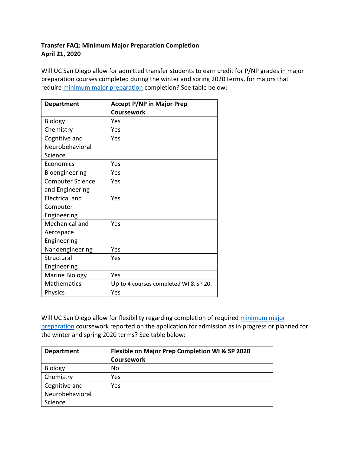## **Transfer FAQ: Minimum Major Preparation Completion April 21, 2020**

Will UC San Diego allow for admitted transfer students to earn credit for P/NP grades in major preparation courses completed during the winter and spring 2020 terms, for majors that require [minimum major preparation](https://admissions.ucsd.edu/transfer/transfer-major-preparation.html) completion? See table below:

| <b>Department</b>       | <b>Accept P/NP in Major Prep</b>      |
|-------------------------|---------------------------------------|
|                         | <b>Coursework</b>                     |
| <b>Biology</b>          | Yes                                   |
| Chemistry               | Yes                                   |
| Cognitive and           | Yes                                   |
| Neurobehavioral         |                                       |
| Science                 |                                       |
| Economics               | Yes                                   |
| Bioengineering          | Yes                                   |
| <b>Computer Science</b> | Yes                                   |
| and Engineering         |                                       |
| <b>Electrical and</b>   | Yes                                   |
| Computer                |                                       |
| Engineering             |                                       |
| Mechanical and          | Yes                                   |
| Aerospace               |                                       |
| Engineering             |                                       |
| Nanoengineering         | Yes                                   |
| Structural              | Yes                                   |
| Engineering             |                                       |
| <b>Marine Biology</b>   | Yes                                   |
| <b>Mathematics</b>      | Up to 4 courses completed WI & SP 20. |
| <b>Physics</b>          | Yes                                   |

Will UC San Diego allow for flexibility regarding completion of required minimum major [preparation](https://admissions.ucsd.edu/transfer/transfer-major-preparation.html) coursework reported on the application for admission as in progress or planned for the winter and spring 2020 terms? See table below:

| <b>Department</b> | Flexible on Major Prep Completion WI & SP 2020 |
|-------------------|------------------------------------------------|
|                   | Coursework                                     |
| Biology           | No                                             |
| Chemistry         | Yes                                            |
| Cognitive and     | Yes                                            |
| Neurobehavioral   |                                                |
| Science           |                                                |